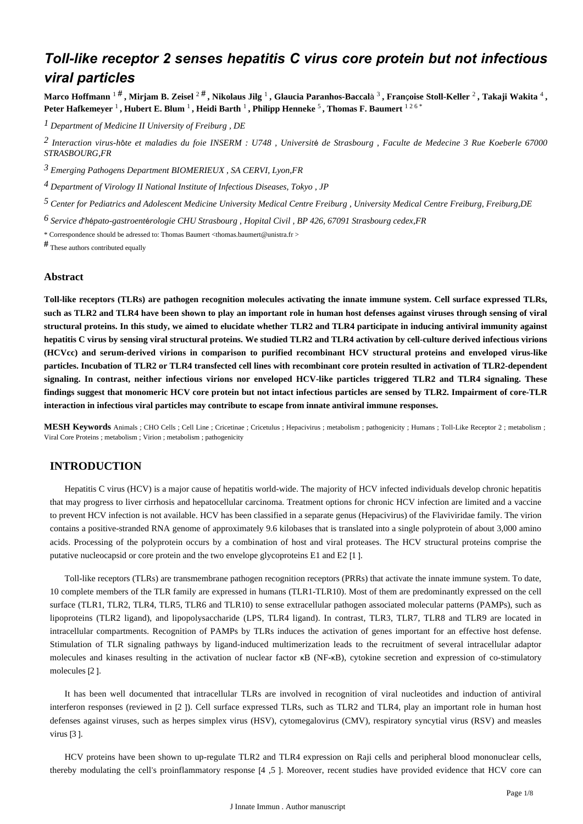# *Toll-like receptor 2 senses hepatitis C virus core protein but not infectious viral particles*

**Marco Hoffmann** 1 # **, Mirjam B. Zeisel** 2 # **, Nikolaus Jilg** <sup>1</sup> **, Glaucia Paranhos-Baccal**à 3 **, Fran**ç**oise Stoll-Keller** <sup>2</sup> **, Takaji Wakita** <sup>4</sup> **, Peter Hafkemeyer** <sup>1</sup> **, Hubert E. Blum** <sup>1</sup> **, Heidi Barth** <sup>1</sup> **, Philipp Henneke** <sup>5</sup> **, Thomas F. Baumert** 1 2 6 \*

*Department of Medicine II 1 University of Freiburg , DE*

*Interaction virus-h te et maladies du foie 2* <sup>ô</sup> *INSERM : U748 , Universit*é *de Strasbourg , Faculte de Medecine 3 Rue Koeberle 67000 STRASBOURG,FR*

*Emerging Pathogens Department 3 BIOMERIEUX , SA CERVI, Lyon,FR*

<sup>4</sup> Department of Virology II National Institute of Infectious Diseases, Tokyo, JP

*Center for Pediatrics and Adolescent Medicine 5 University Medical Centre Freiburg , University Medical Centre Freiburg, Freiburg,DE*

*Service d h pato-gastroent rologie 6*  ' é é *CHU Strasbourg , Hopital Civil , BP 426, 67091 Strasbourg cedex,FR*

\* Correspondence should be adressed to: Thomas Baumert <thomas.baumert@unistra.fr >

# These authors contributed equally

# **Abstract**

**Toll-like receptors (TLRs) are pathogen recognition molecules activating the innate immune system. Cell surface expressed TLRs, such as TLR2 and TLR4 have been shown to play an important role in human host defenses against viruses through sensing of viral structural proteins. In this study, we aimed to elucidate whether TLR2 and TLR4 participate in inducing antiviral immunity against hepatitis C virus by sensing viral structural proteins. We studied TLR2 and TLR4 activation by cell-culture derived infectious virions (HCVcc) and serum-derived virions in comparison to purified recombinant HCV structural proteins and enveloped virus-like particles. Incubation of TLR2 or TLR4 transfected cell lines with recombinant core protein resulted in activation of TLR2-dependent signaling. In contrast, neither infectious virions nor enveloped HCV-like particles triggered TLR2 and TLR4 signaling. These findings suggest that monomeric HCV core protein but not intact infectious particles are sensed by TLR2. Impairment of core-TLR interaction in infectious viral particles may contribute to escape from innate antiviral immune responses.**

**MESH Keywords** Animals ; CHO Cells ; Cell Line ; Cricetinae ; Cricetulus ; Hepacivirus ; metabolism ; pathogenicity ; Humans ; Toll-Like Receptor 2 ; metabolism ; Viral Core Proteins ; metabolism ; Virion ; metabolism ; pathogenicity

# **INTRODUCTION**

Hepatitis C virus (HCV) is a major cause of hepatitis world-wide. The majority of HCV infected individuals develop chronic hepatitis that may progress to liver cirrhosis and hepatocellular carcinoma. Treatment options for chronic HCV infection are limited and a vaccine to prevent HCV infection is not available. HCV has been classified in a separate genus (Hepacivirus) of the Flaviviridae family. The virion contains a positive-stranded RNA genome of approximately 9.6 kilobases that is translated into a single polyprotein of about 3,000 amino acids. Processing of the polyprotein occurs by a combination of host and viral proteases. The HCV structural proteins comprise the putative nucleocapsid or core protein and the two envelope glycoproteins E1 and E2 [1 ].

Toll-like receptors (TLRs) are transmembrane pathogen recognition receptors (PRRs) that activate the innate immune system. To date, 10 complete members of the TLR family are expressed in humans (TLR1-TLR10). Most of them are predominantly expressed on the cell surface (TLR1, TLR2, TLR4, TLR5, TLR6 and TLR10) to sense extracellular pathogen associated molecular patterns (PAMPs), such as lipoproteins (TLR2 ligand), and lipopolysaccharide (LPS, TLR4 ligand). In contrast, TLR3, TLR7, TLR8 and TLR9 are located in intracellular compartments. Recognition of PAMPs by TLRs induces the activation of genes important for an effective host defense. Stimulation of TLR signaling pathways by ligand-induced multimerization leads to the recruitment of several intracellular adaptor molecules and kinases resulting in the activation of nuclear factor κB (NF-κB), cytokine secretion and expression of co-stimulatory molecules [2 ].

It has been well documented that intracellular TLRs are involved in recognition of viral nucleotides and induction of antiviral interferon responses (reviewed in [2 ]). Cell surface expressed TLRs, such as TLR2 and TLR4, play an important role in human host defenses against viruses, such as herpes simplex virus (HSV), cytomegalovirus (CMV), respiratory syncytial virus (RSV) and measles virus [3 ].

HCV proteins have been shown to up-regulate TLR2 and TLR4 expression on Raji cells and peripheral blood mononuclear cells, thereby modulating the cell's proinflammatory response [4 ,5 ]. Moreover, recent studies have provided evidence that HCV core can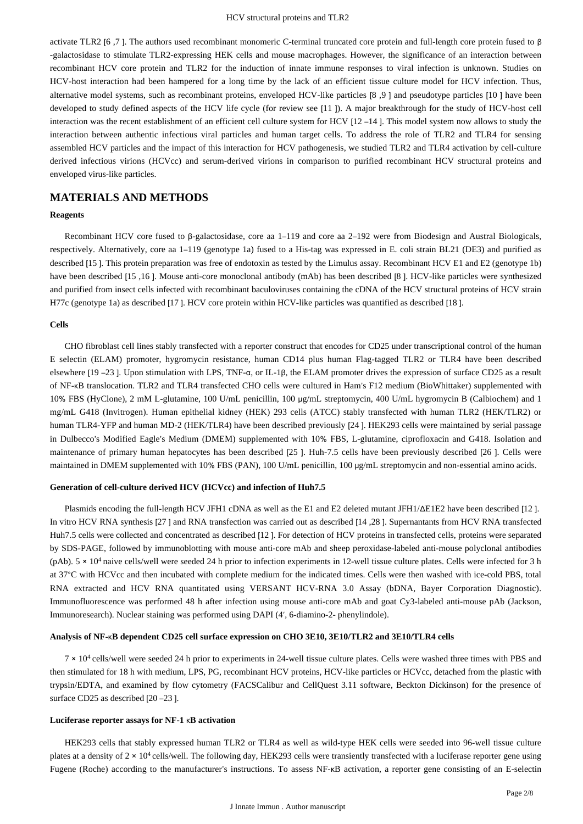activate TLR2 [6 ,7 ]. The authors used recombinant monomeric C-terminal truncated core protein and full-length core protein fused to β -galactosidase to stimulate TLR2-expressing HEK cells and mouse macrophages. However, the significance of an interaction between recombinant HCV core protein and TLR2 for the induction of innate immune responses to viral infection is unknown. Studies on HCV-host interaction had been hampered for a long time by the lack of an efficient tissue culture model for HCV infection. Thus, alternative model systems, such as recombinant proteins, enveloped HCV-like particles [8 ,9 ] and pseudotype particles [10 ] have been developed to study defined aspects of the HCV life cycle (for review see [11 ]). A major breakthrough for the study of HCV-host cell interaction was the recent establishment of an efficient cell culture system for HCV [12 –14 ]. This model system now allows to study the interaction between authentic infectious viral particles and human target cells. To address the role of TLR2 and TLR4 for sensing assembled HCV particles and the impact of this interaction for HCV pathogenesis, we studied TLR2 and TLR4 activation by cell-culture derived infectious virions (HCVcc) and serum-derived virions in comparison to purified recombinant HCV structural proteins and enveloped virus-like particles.

# **MATERIALS AND METHODS**

#### **Reagents**

Recombinant HCV core fused to β-galactosidase, core aa 1–119 and core aa 2–192 were from Biodesign and Austral Biologicals, respectively. Alternatively, core aa 1–119 (genotype 1a) fused to a His-tag was expressed in E. coli strain BL21 (DE3) and purified as described [15 ]. This protein preparation was free of endotoxin as tested by the Limulus assay. Recombinant HCV E1 and E2 (genotype 1b) have been described [15 ,16 ]. Mouse anti-core monoclonal antibody (mAb) has been described [8 ]. HCV-like particles were synthesized and purified from insect cells infected with recombinant baculoviruses containing the cDNA of the HCV structural proteins of HCV strain H77c (genotype 1a) as described [17 ]. HCV core protein within HCV-like particles was quantified as described [18 ].

#### **Cells**

CHO fibroblast cell lines stably transfected with a reporter construct that encodes for CD25 under transcriptional control of the human E selectin (ELAM) promoter, hygromycin resistance, human CD14 plus human Flag-tagged TLR2 or TLR4 have been described elsewhere [19 –23 ]. Upon stimulation with LPS, TNF-α, or IL-1β, the ELAM promoter drives the expression of surface CD25 as a result of NF-κB translocation. TLR2 and TLR4 transfected CHO cells were cultured in Ham's F12 medium (BioWhittaker) supplemented with 10% FBS (HyClone), 2 mM L-glutamine, 100 U/mL penicillin, 100 μg/mL streptomycin, 400 U/mL hygromycin B (Calbiochem) and 1 mg/mL G418 (Invitrogen). Human epithelial kidney (HEK) 293 cells (ATCC) stably transfected with human TLR2 (HEK/TLR2) or human TLR4-YFP and human MD-2 (HEK/TLR4) have been described previously [24 ]. HEK293 cells were maintained by serial passage in Dulbecco's Modified Eagle's Medium (DMEM) supplemented with 10% FBS, L-glutamine, ciprofloxacin and G418. Isolation and maintenance of primary human hepatocytes has been described [25 ]. Huh-7.5 cells have been previously described [26 ]. Cells were maintained in DMEM supplemented with 10% FBS (PAN), 100 U/mL penicillin, 100 μg/mL streptomycin and non-essential amino acids.

## **Generation of cell-culture derived HCV (HCVcc) and infection of Huh7.5**

Plasmids encoding the full-length HCV JFH1 cDNA as well as the E1 and E2 deleted mutant JFH1/ΔE1E2 have been described [12 ]. In vitro HCV RNA synthesis [27 ] and RNA transfection was carried out as described [14 ,28 ]. Supernantants from HCV RNA transfected Huh7.5 cells were collected and concentrated as described [12 ]. For detection of HCV proteins in transfected cells, proteins were separated by SDS-PAGE, followed by immunoblotting with mouse anti-core mAb and sheep peroxidase-labeled anti-mouse polyclonal antibodies (pAb).  $5 \times 10^4$  naive cells/well were seeded 24 h prior to infection experiments in 12-well tissue culture plates. Cells were infected for 3 h at 37°C with HCVcc and then incubated with complete medium for the indicated times. Cells were then washed with ice-cold PBS, total RNA extracted and HCV RNA quantitated using VERSANT HCV-RNA 3.0 Assay (bDNA, Bayer Corporation Diagnostic). Immunofluorescence was performed 48 h after infection using mouse anti-core mAb and goat Cy3-labeled anti-mouse pAb (Jackson, Immunoresearch). Nuclear staining was performed using DAPI (4′, 6-diamino-2- phenylindole).

## **Analysis of NF-**κ**B dependent CD25 cell surface expression on CHO 3E10, 3E10/TLR2 and 3E10/TLR4 cells**

 $7 \times 10^4$  cells/well were seeded 24 h prior to experiments in 24-well tissue culture plates. Cells were washed three times with PBS and then stimulated for 18 h with medium, LPS, PG, recombinant HCV proteins, HCV-like particles or HCVcc, detached from the plastic with trypsin/EDTA, and examined by flow cytometry (FACSCalibur and CellQuest 3.11 software, Beckton Dickinson) for the presence of surface CD25 as described [20 – 23].

#### **Luciferase reporter assays for NF-1** κ**B activation**

HEK293 cells that stably expressed human TLR2 or TLR4 as well as wild-type HEK cells were seeded into 96-well tissue culture plates at a density of  $2 \times 10^4$  cells/well. The following day, HEK293 cells were transiently transfected with a luciferase reporter gene using Fugene (Roche) according to the manufacturer's instructions. To assess NF-κB activation, a reporter gene consisting of an E-selectin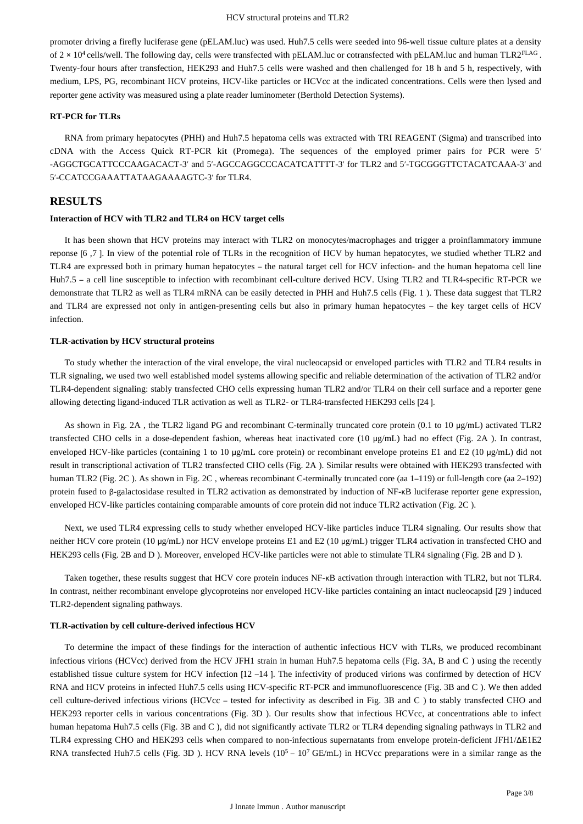promoter driving a firefly luciferase gene (pELAM.luc) was used. Huh7.5 cells were seeded into 96-well tissue culture plates at a density of  $2 \times 10^4$  cells/well. The following day, cells were transfected with pELAM.luc or cotransfected with pELAM.luc and human TLR2<sup>FLAG</sup>. Twenty-four hours after transfection, HEK293 and Huh7.5 cells were washed and then challenged for 18 h and 5 h, respectively, with medium, LPS, PG, recombinant HCV proteins, HCV-like particles or HCVcc at the indicated concentrations. Cells were then lysed and reporter gene activity was measured using a plate reader luminometer (Berthold Detection Systems).

## **RT-PCR for TLRs**

RNA from primary hepatocytes (PHH) and Huh7.5 hepatoma cells was extracted with TRI REAGENT (Sigma) and transcribed into cDNA with the Access Quick RT-PCR kit (Promega). The sequences of the employed primer pairs for PCR were 5′ -AGGCTGCATTCCCAAGACACT-3′ and 5′-AGCCAGGCCCACATCATTTT-3′ for TLR2 and 5′-TGCGGGTTCTACATCAAA-3′ and 5′-CCATCCGAAATTATAAGAAAAGTC-3′ for TLR4.

# **RESULTS**

## **Interaction of HCV with TLR2 and TLR4 on HCV target cells**

It has been shown that HCV proteins may interact with TLR2 on monocytes/macrophages and trigger a proinflammatory immune reponse [6 ,7 ]. In view of the potential role of TLRs in the recognition of HCV by human hepatocytes, we studied whether TLR2 and TLR4 are expressed both in primary human hepatocytes – the natural target cell for HCV infection- and the human hepatoma cell line Huh7.5 – a cell line susceptible to infection with recombinant cell-culture derived HCV. Using TLR2 and TLR4-specific RT-PCR we demonstrate that TLR2 as well as TLR4 mRNA can be easily detected in PHH and Huh7.5 cells (Fig. 1 ). These data suggest that TLR2 and TLR4 are expressed not only in antigen-presenting cells but also in primary human hepatocytes – the key target cells of HCV infection.

## **TLR-activation by HCV structural proteins**

To study whether the interaction of the viral envelope, the viral nucleocapsid or enveloped particles with TLR2 and TLR4 results in TLR signaling, we used two well established model systems allowing specific and reliable determination of the activation of TLR2 and/or TLR4-dependent signaling: stably transfected CHO cells expressing human TLR2 and/or TLR4 on their cell surface and a reporter gene allowing detecting ligand-induced TLR activation as well as TLR2- or TLR4-transfected HEK293 cells [24 ].

As shown in Fig. 2A, the TLR2 ligand PG and recombinant C-terminally truncated core protein (0.1 to 10 µg/mL) activated TLR2 transfected CHO cells in a dose-dependent fashion, whereas heat inactivated core (10 μg/mL) had no effect (Fig. 2A ). In contrast, enveloped HCV-like particles (containing 1 to 10 μg/mL core protein) or recombinant envelope proteins E1 and E2 (10 μg/mL) did not result in transcriptional activation of TLR2 transfected CHO cells (Fig. 2A ). Similar results were obtained with HEK293 transfected with human TLR2 (Fig. 2C). As shown in Fig. 2C, whereas recombinant C-terminally truncated core (aa 1–119) or full-length core (aa 2–192) protein fused to β-galactosidase resulted in TLR2 activation as demonstrated by induction of NF-κB luciferase reporter gene expression, enveloped HCV-like particles containing comparable amounts of core protein did not induce TLR2 activation (Fig. 2C ).

Next, we used TLR4 expressing cells to study whether enveloped HCV-like particles induce TLR4 signaling. Our results show that neither HCV core protein (10 μg/mL) nor HCV envelope proteins E1 and E2 (10 μg/mL) trigger TLR4 activation in transfected CHO and HEK293 cells (Fig. 2B and D ). Moreover, enveloped HCV-like particles were not able to stimulate TLR4 signaling (Fig. 2B and D ).

Taken together, these results suggest that HCV core protein induces NF-κB activation through interaction with TLR2, but not TLR4. In contrast, neither recombinant envelope glycoproteins nor enveloped HCV-like particles containing an intact nucleocapsid [29 ] induced TLR2-dependent signaling pathways.

## **TLR-activation by cell culture-derived infectious HCV**

To determine the impact of these findings for the interaction of authentic infectious HCV with TLRs, we produced recombinant infectious virions (HCVcc) derived from the HCV JFH1 strain in human Huh7.5 hepatoma cells (Fig. 3A, B and C ) using the recently established tissue culture system for HCV infection [12 –14 ]. The infectivity of produced virions was confirmed by detection of HCV RNA and HCV proteins in infected Huh7.5 cells using HCV-specific RT-PCR and immunofluorescence (Fig. 3B and C ). We then added cell culture-derived infectious virions (HCVcc – tested for infectivity as described in Fig. 3B and C ) to stably transfected CHO and HEK293 reporter cells in various concentrations (Fig. 3D ). Our results show that infectious HCVcc, at concentrations able to infect human hepatoma Huh7.5 cells (Fig. 3B and C), did not significantly activate TLR2 or TLR4 depending signaling pathways in TLR2 and TLR4 expressing CHO and HEK293 cells when compared to non-infectious supernatants from envelope protein-deficient JFH1/ΔE1E2 RNA transfected Huh7.5 cells (Fig. 3D). HCV RNA levels  $(10^5 - 10^7 \text{ GE/mL})$  in HCVcc preparations were in a similar range as the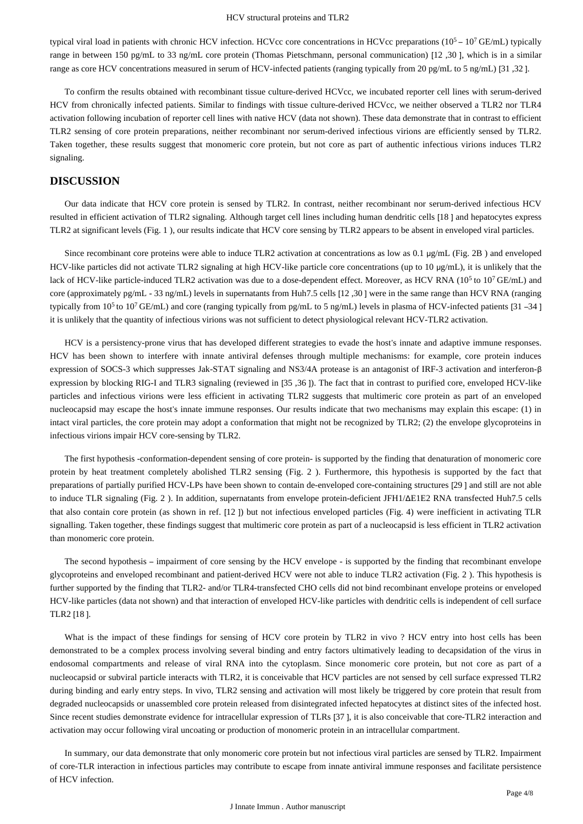typical viral load in patients with chronic HCV infection. HCVcc core concentrations in HCVcc preparations  $(10<sup>5</sup> – 10<sup>7</sup> \text{GE/mL})$  typically range in between 150 pg/mL to 33 ng/mL core protein (Thomas Pietschmann, personal communication) [12 ,30 ], which is in a similar range as core HCV concentrations measured in serum of HCV-infected patients (ranging typically from 20 pg/mL to 5 ng/mL) [31 ,32 ].

To confirm the results obtained with recombinant tissue culture-derived HCVcc, we incubated reporter cell lines with serum-derived HCV from chronically infected patients. Similar to findings with tissue culture-derived HCVcc, we neither observed a TLR2 nor TLR4 activation following incubation of reporter cell lines with native HCV (data not shown). These data demonstrate that in contrast to efficient TLR2 sensing of core protein preparations, neither recombinant nor serum-derived infectious virions are efficiently sensed by TLR2. Taken together, these results suggest that monomeric core protein, but not core as part of authentic infectious virions induces TLR2 signaling.

# **DISCUSSION**

Our data indicate that HCV core protein is sensed by TLR2. In contrast, neither recombinant nor serum-derived infectious HCV resulted in efficient activation of TLR2 signaling. Although target cell lines including human dendritic cells [18 ] and hepatocytes express TLR2 at significant levels (Fig. 1 ), our results indicate that HCV core sensing by TLR2 appears to be absent in enveloped viral particles.

Since recombinant core proteins were able to induce TLR2 activation at concentrations as low as 0.1 µg/mL (Fig. 2B) and enveloped HCV-like particles did not activate TLR2 signaling at high HCV-like particle core concentrations (up to 10 μg/mL), it is unlikely that the lack of HCV-like particle-induced TLR2 activation was due to a dose-dependent effect. Moreover, as HCV RNA ( $10<sup>5</sup>$  to  $10<sup>7</sup>$  GE/mL) and core (approximately pg/mL - 33 ng/mL) levels in supernatants from Huh7.5 cells [12 ,30 ] were in the same range than HCV RNA (ranging typically from  $10^5$  to  $10^7$  GE/mL) and core (ranging typically from pg/mL to 5 ng/mL) levels in plasma of HCV-infected patients [31 –34] it is unlikely that the quantity of infectious virions was not sufficient to detect physiological relevant HCV-TLR2 activation.

HCV is a persistency-prone virus that has developed different strategies to evade the host's innate and adaptive immune responses. HCV has been shown to interfere with innate antiviral defenses through multiple mechanisms: for example, core protein induces expression of SOCS-3 which suppresses Jak-STAT signaling and NS3/4A protease is an antagonist of IRF-3 activation and interferon-β expression by blocking RIG-I and TLR3 signaling (reviewed in [35 ,36 ]). The fact that in contrast to purified core, enveloped HCV-like particles and infectious virions were less efficient in activating TLR2 suggests that multimeric core protein as part of an enveloped nucleocapsid may escape the host's innate immune responses. Our results indicate that two mechanisms may explain this escape: (1) in intact viral particles, the core protein may adopt a conformation that might not be recognized by TLR2; (2) the envelope glycoproteins in infectious virions impair HCV core-sensing by TLR2.

The first hypothesis -conformation-dependent sensing of core protein- is supported by the finding that denaturation of monomeric core protein by heat treatment completely abolished TLR2 sensing (Fig. 2 ). Furthermore, this hypothesis is supported by the fact that preparations of partially purified HCV-LPs have been shown to contain de-enveloped core-containing structures [29 ] and still are not able to induce TLR signaling (Fig. 2 ). In addition, supernatants from envelope protein-deficient JFH1/ΔE1E2 RNA transfected Huh7.5 cells that also contain core protein (as shown in ref. [12 ]) but not infectious enveloped particles (Fig. 4) were inefficient in activating TLR signalling. Taken together, these findings suggest that multimeric core protein as part of a nucleocapsid is less efficient in TLR2 activation than monomeric core protein.

The second hypothesis – impairment of core sensing by the HCV envelope - is supported by the finding that recombinant envelope glycoproteins and enveloped recombinant and patient-derived HCV were not able to induce TLR2 activation (Fig. 2 ). This hypothesis is further supported by the finding that TLR2- and/or TLR4-transfected CHO cells did not bind recombinant envelope proteins or enveloped HCV-like particles (data not shown) and that interaction of enveloped HCV-like particles with dendritic cells is independent of cell surface TLR2 [18 ].

What is the impact of these findings for sensing of HCV core protein by TLR2 in vivo ? HCV entry into host cells has been demonstrated to be a complex process involving several binding and entry factors ultimatively leading to decapsidation of the virus in endosomal compartments and release of viral RNA into the cytoplasm. Since monomeric core protein, but not core as part of a nucleocapsid or subviral particle interacts with TLR2, it is conceivable that HCV particles are not sensed by cell surface expressed TLR2 during binding and early entry steps. In vivo, TLR2 sensing and activation will most likely be triggered by core protein that result from degraded nucleocapsids or unassembled core protein released from disintegrated infected hepatocytes at distinct sites of the infected host. Since recent studies demonstrate evidence for intracellular expression of TLRs [37 ], it is also conceivable that core-TLR2 interaction and activation may occur following viral uncoating or production of monomeric protein in an intracellular compartment.

In summary, our data demonstrate that only monomeric core protein but not infectious viral particles are sensed by TLR2. Impairment of core-TLR interaction in infectious particles may contribute to escape from innate antiviral immune responses and facilitate persistence of HCV infection.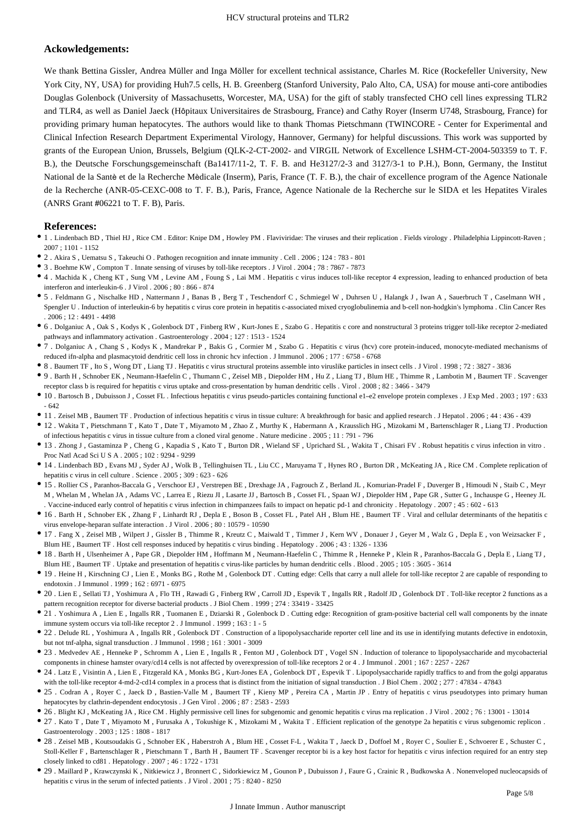# **Ackowledgements:**

We thank Bettina Gissler, Andrea Müller and Inga Möller for excellent technical assistance, Charles M. Rice (Rockefeller University, New York City, NY, USA) for providing Huh7.5 cells, H. B. Greenberg (Stanford University, Palo Alto, CA, USA) for mouse anti-core antibodies Douglas Golenbock (University of Massachusetts, Worcester, MA, USA) for the gift of stably transfected CHO cell lines expressing TLR2 and TLR4, as well as Daniel Jaeck (Hôpitaux Universitaires de Strasbourg, France) and Cathy Royer (Inserm U748, Strasbourg, France) for providing primary human hepatocytes. The authors would like to thank Thomas Pietschmann (TWINCORE - Center for Experimental and Clinical Infection Research Department Experimental Virology, Hannover, Germany) for helpful discussions. This work was supported by grants of the European Union, Brussels, Belgium (QLK-2-CT-2002- and VIRGIL Network of Excellence LSHM-CT-2004-503359 to T. F. B.), the Deutsche Forschungsgemeinschaft (Ba1417/11-2, T. F. B. and He3127/2-3 and 3127/3-1 to P.H.), Bonn, Germany, the Institut National de la Santè et de la Recherche Mèdicale (Inserm), Paris, France (T. F. B.), the chair of excellence program of the Agence Nationale de la Recherche (ANR-05-CEXC-008 to T. F. B.), Paris, France, Agence Nationale de la Recherche sur le SIDA et les Hepatites Virales (ANRS Grant #06221 to T. F. B), Paris.

#### **References:**

- 1 . Lindenbach BD , Thiel HJ , Rice CM . Editor: Knipe DM , Howley PM . Flaviviridae: The viruses and their replication . Fields virology . Philadelphia Lippincott-Raven ; 2007 ; 1101 - 1152
- 2 . Akira S , Uematsu S , Takeuchi O . Pathogen recognition and innate immunity . Cell . 2006 ; 124 : 783 801
- 3 . Boehme KW , Compton T . Innate sensing of viruses by toll-like receptors . J Virol . 2004 ; 78 : 7867 7873
- 4 . Machida K , Cheng KT , Sung VM , Levine AM , Foung S , Lai MM . Hepatitis c virus induces toll-like receptor 4 expression, leading to enhanced production of beta interferon and interleukin-6 . J Virol . 2006 ; 80 : 866 - 874
- 5 . Feldmann G , Nischalke HD , Nattermann J , Banas B , Berg T , Teschendorf C , Schmiegel W , Duhrsen U , Halangk J , Iwan A , Sauerbruch T , Caselmann WH , Spengler U . Induction of interleukin-6 by hepatitis c virus core protein in hepatitis c-associated mixed cryoglobulinemia and b-cell non-hodgkin's lymphoma . Clin Cancer Res  $2006 \cdot 12 \cdot 4491 - 4498$
- 6 . Dolganiuc A , Oak S , Kodys K , Golenbock DT , Finberg RW , Kurt-Jones E , Szabo G . Hepatitis c core and nonstructural 3 proteins trigger toll-like receptor 2-mediated pathways and inflammatory activation . Gastroenterology . 2004 ; 127 : 1513 - 1524
- 7 . Dolganiuc A , Chang S , Kodys K , Mandrekar P , Bakis G , Cormier M , Szabo G . Hepatitis c virus (hcv) core protein-induced, monocyte-mediated mechanisms of reduced ifn-alpha and plasmacytoid dendritic cell loss in chronic hcv infection . J Immunol . 2006 ; 177 : 6758 - 6768
- 8 . Baumert TF , Ito S , Wong DT , Liang TJ . Hepatitis c virus structural proteins assemble into viruslike particles in insect cells . J Virol . 1998 ; 72 : 3827 3836
- 9 . Barth H , Schnober EK , Neumann-Haefelin C , Thumann C , Zeisel MB , Diepolder HM , Hu Z , Liang TJ , Blum HE , Thimme R , Lambotin M , Baumert TF . Scavenger receptor class b is required for hepatitis c virus uptake and cross-presentation by human dendritic cells . Virol . 2008 ; 82 : 3466 - 3479
- 10 . Bartosch B , Dubuisson J , Cosset FL . Infectious hepatitis c virus pseudo-particles containing functional e1–e2 envelope protein complexes . J Exp Med . 2003 ; 197 : 633 - 642
- 11 . Zeisel MB , Baumert TF . Production of infectious hepatitis c virus in tissue culture: A breakthrough for basic and applied research . J Hepatol . 2006 ; 44 : 436 439
- 12 . Wakita T , Pietschmann T , Kato T , Date T , Miyamoto M , Zhao Z , Murthy K , Habermann A , Krausslich HG , Mizokami M , Bartenschlager R , Liang TJ . Production of infectious hepatitis c virus in tissue culture from a cloned viral genome . Nature medicine . 2005 ; 11 : 791 - 796
- 13 . Zhong J , Gastaminza P , Cheng G , Kapadia S , Kato T , Burton DR , Wieland SF , Uprichard SL , Wakita T , Chisari FV . Robust hepatitis c virus infection in vitro . Proc Natl Acad Sci U S A . 2005 ; 102 : 9294 - 9299
- 14 . Lindenbach BD , Evans MJ , Syder AJ , Wolk B , Tellinghuisen TL , Liu CC , Maruyama T , Hynes RO , Burton DR , McKeating JA , Rice CM . Complete replication of hepatitis c virus in cell culture . Science . 2005 ; 309 : 623 - 626
- 15 . Rollier CS , Paranhos-Baccala G , Verschoor EJ , Verstrepen BE , Drexhage JA , Fagrouch Z , Berland JL , Komurian-Pradel F , Duverger B , Himoudi N , Staib C , Meyr M , Whelan M , Whelan JA , Adams VC , Larrea E , Riezu JI , Lasarte JJ , Bartosch B , Cosset FL , Spaan WJ , Diepolder HM , Pape GR , Sutter G , Inchauspe G , Heeney JL . Vaccine-induced early control of hepatitis c virus infection in chimpanzees fails to impact on hepatic pd-1 and chronicity . Hepatology . 2007 ; 45 : 602 - 613
- 16 . Barth H , Schnober EK , Zhang F , Linhardt RJ , Depla E , Boson B , Cosset FL , Patel AH , Blum HE , Baumert TF . Viral and cellular determinants of the hepatitis c virus envelope-heparan sulfate interaction . J Virol . 2006 ; 80 : 10579 - 10590
- 17 . Fang X , Zeisel MB , Wilpert J , Gissler B , Thimme R , Kreutz C , Maiwald T , Timmer J , Kern WV , Donauer J , Geyer M , Walz G , Depla E , von Weizsacker F , Blum HE , Baumert TF . Host cell responses induced by hepatitis c virus binding . Hepatology . 2006 ; 43 : 1326 - 1336
- 18 . Barth H , Ulsenheimer A , Pape GR , Diepolder HM , Hoffmann M , Neumann-Haefelin C , Thimme R , Henneke P , Klein R , Paranhos-Baccala G , Depla E , Liang TJ , Blum HE , Baumert TF . Uptake and presentation of hepatitis c virus-like particles by human dendritic cells . Blood . 2005 ; 105 : 3605 - 3614
- 19 . Heine H , Kirschning CJ , Lien E , Monks BG , Rothe M , Golenbock DT . Cutting edge: Cells that carry a null allele for toll-like receptor 2 are capable of responding to endotoxin . J Immunol . 1999 ; 162 : 6971 - 6975
- 20 . Lien E , Sellati TJ , Yoshimura A , Flo TH , Rawadi G , Finberg RW , Carroll JD , Espevik T , Ingalls RR , Radolf JD , Golenbock DT . Toll-like receptor 2 functions as a pattern recognition receptor for diverse bacterial products . J Biol Chem . 1999 ; 274 : 33419 - 33425
- 21 . Yoshimura A , Lien E , Ingalls RR , Tuomanen E , Dziarski R , Golenbock D . Cutting edge: Recognition of gram-positive bacterial cell wall components by the innate immune system occurs via toll-like receptor 2 . J Immunol . 1999 ; 163 : 1 - 5
- 22 . Delude RL , Yoshimura A , Ingalls RR , Golenbock DT . Construction of a lipopolysaccharide reporter cell line and its use in identifying mutants defective in endotoxin, but not tnf-alpha, signal transduction . J Immunol . 1998 ; 161 : 3001 - 3009
- 23 . Medvedev AE , Henneke P , Schromm A , Lien E , Ingalls R , Fenton MJ , Golenbock DT , Vogel SN . Induction of tolerance to lipopolysaccharide and mycobacterial components in chinese hamster ovary/cd14 cells is not affected by overexpression of toll-like receptors 2 or 4 . J Immunol . 2001 ; 167 : 2257 - 2267
- 24 . Latz E , Visintin A , Lien E , Fitzgerald KA , Monks BG , Kurt-Jones EA , Golenbock DT , Espevik T . Lipopolysaccharide rapidly traffics to and from the golgi apparatus with the toll-like receptor 4-md-2-cd14 complex in a process that is distinct from the initiation of signal transduction . J Biol Chem . 2002 ; 277 : 47834 - 47843
- 25 . Codran A, Royer C, Jaeck D, Bastien-Valle M, Baumert TF, Kieny MP, Pereira CA, Martin JP. Entry of hepatitis c virus pseudotypes into primary human hepatocytes by clathrin-dependent endocytosis . J Gen Virol . 2006 ; 87 : 2583 - 2593
- 26 . Blight KJ , McKeating JA , Rice CM . Highly permissive cell lines for subgenomic and genomic hepatitis c virus rna replication . J Virol . 2002 ; 76 : 13001 13014
- 27 . Kato T , Date T , Miyamoto M , Furusaka A , Tokushige K , Mizokami M , Wakita T . Efficient replication of the genotype 2a hepatitis c virus subgenomic replicon . Gastroenterology . 2003 ; 125 : 1808 - 1817
- 28 . Zeisel MB , Koutsoudakis G , Schnober EK , Haberstroh A , Blum HE , Cosset F-L , Wakita T , Jaeck D , Doffoel M , Royer C , Soulier E , Schvoerer E , Schuster C , Stoll-Keller F , Bartenschlager R , Pietschmann T , Barth H , Baumert TF . Scavenger receptor bi is a key host factor for hepatitis c virus infection required for an entry step closely linked to cd81 . Hepatology . 2007 ; 46 : 1722 - 1731
- 29 . Maillard P , Krawczynski K , Nitkiewicz J , Bronnert C , Sidorkiewicz M , Gounon P , Dubuisson J , Faure G , Crainic R , Budkowska A . Nonenveloped nucleocapsids of hepatitis c virus in the serum of infected patients . J Virol . 2001 ; 75 : 8240 - 8250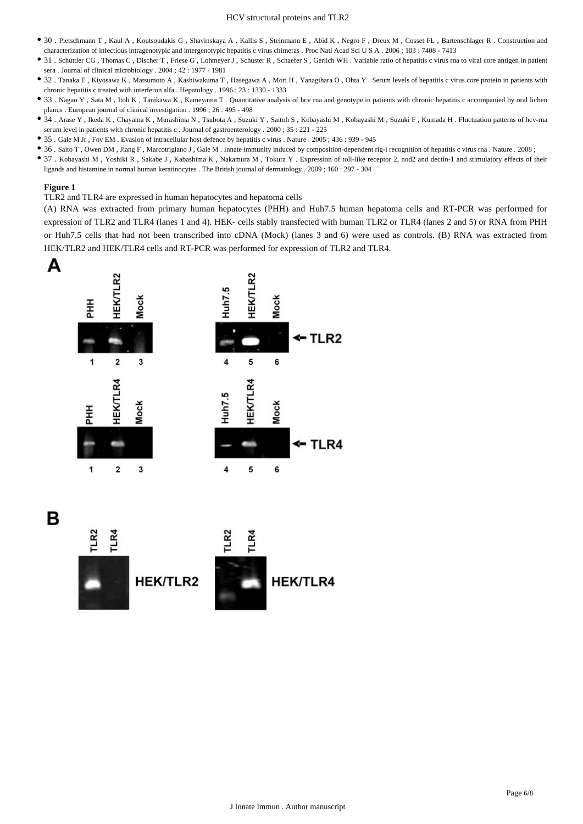#### HCV structural proteins and TLR2

- 30 . Pietschmann T , Kaul A , Koutsoudakis G , Shavinskaya A , Kallis S , Steinmann E , Abid K , Negro F , Dreux M , Cosset FL , Bartenschlager R . Construction and characterization of infectious intragenotypic and intergenotypic hepatitis c virus chimeras . Proc Natl Acad Sci U S A . 2006 ; 103 : 7408 - 7413
- 31 . Schuttler CG, Thomas C, Discher T, Friese G, Lohmeyer J, Schuster R, Schaefer S, Gerlich WH. Variable ratio of hepatitis c virus rna to viral core antigen in patient sera . Journal of clinical microbiology . 2004 ; 42 : 1977 - 1981
- 32 . Tanaka E , Kiyosawa K , Matsumoto A , Kashiwakuma T , Hasegawa A , Mori H , Yanagihara O , Ohta Y . Serum levels of hepatitis c virus core protein in patients with chronic hepatitis c treated with interferon alfa . Hepatology . 1996 ; 23 : 1330 - 1333
- 33 . Nagao Y , Sata M , Itoh K , Tanikawa K , Kameyama T . Quantitative analysis of hcv rna and genotype in patients with chronic hepatitis c accompanied by oral lichen planus . European journal of clinical investigation . 1996 ; 26 : 495 - 498
- 34 . Arase Y , Ikeda K , Chayama K , Murashima N , Tsubota A , Suzuki Y , Saitoh S , Kobayashi M , Kobayashi M , Suzuki F , Kumada H . Fluctuation patterns of hcv-rna serum level in patients with chronic hepatitis c . Journal of gastroenterology . 2000 ; 35 : 221 - 225
- 35 . Gale M Jr , Foy EM . Evasion of intracellular host defence by hepatitis c virus . Nature . 2005 ; 436 : 939 945
- 36 . Saito T , Owen DM , Jiang F , Marcotrigiano J , Gale M . Innate immunity induced by composition-dependent rig-i recognition of hepatitis c virus rna . Nature . 2008 ;
- 37 . Kobayashi M , Yoshiki R , Sakabe J , Kabashima K , Nakamura M , Tokura Y . Expression of toll-like receptor 2, nod2 and dectin-1 and stimulatory effects of their ligands and histamine in normal human keratinocytes . The British journal of dermatology . 2009 ; 160 : 297 - 304

#### **Figure 1**

TLR2 and TLR4 are expressed in human hepatocytes and hepatoma cells

(A) RNA was extracted from primary human hepatocytes (PHH) and Huh7.5 human hepatoma cells and RT-PCR was performed for expression of TLR2 and TLR4 (lanes 1 and 4). HEK- cells stably transfected with human TLR2 or TLR4 (lanes 2 and 5) or RNA from PHH or Huh7.5 cells that had not been transcribed into cDNA (Mock) (lanes 3 and 6) were used as controls. (B) RNA was extracted from HEK/TLR2 and HEK/TLR4 cells and RT-PCR was performed for expression of TLR2 and TLR4.



В

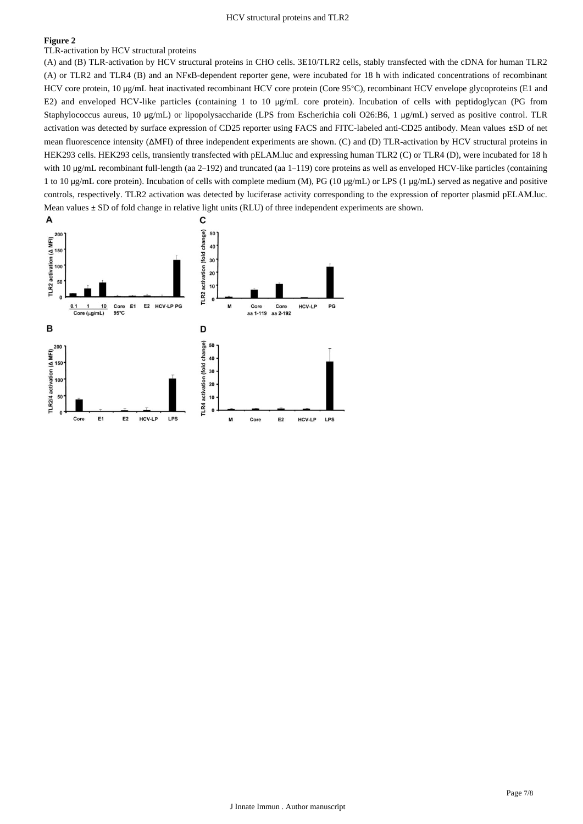#### **Figure 2**

TLR-activation by HCV structural proteins

(A) and (B) TLR-activation by HCV structural proteins in CHO cells. 3E10/TLR2 cells, stably transfected with the cDNA for human TLR2 (A) or TLR2 and TLR4 (B) and an NFκB-dependent reporter gene, were incubated for 18 h with indicated concentrations of recombinant HCV core protein, 10 μg/mL heat inactivated recombinant HCV core protein (Core 95°C), recombinant HCV envelope glycoproteins (E1 and E2) and enveloped HCV-like particles (containing 1 to 10 μg/mL core protein). Incubation of cells with peptidoglycan (PG from Staphylococcus aureus, 10 μg/mL) or lipopolysaccharide (LPS from Escherichia coli O26:B6, 1 μg/mL) served as positive control. TLR activation was detected by surface expression of CD25 reporter using FACS and FITC-labeled anti-CD25 antibody. Mean values ±SD of net mean fluorescence intensity (ΔMFI) of three independent experiments are shown. (C) and (D) TLR-activation by HCV structural proteins in HEK293 cells. HEK293 cells, transiently transfected with pELAM.luc and expressing human TLR2 (C) or TLR4 (D), were incubated for 18 h with 10 μg/mL recombinant full-length (aa 2–192) and truncated (aa 1–119) core proteins as well as enveloped HCV-like particles (containing 1 to 10 μg/mL core protein). Incubation of cells with complete medium (M), PG (10 μg/mL) or LPS (1 μg/mL) served as negative and positive controls, respectively. TLR2 activation was detected by luciferase activity corresponding to the expression of reporter plasmid pELAM.luc. Mean values ± SD of fold change in relative light units (RLU) of three independent experiments are shown.